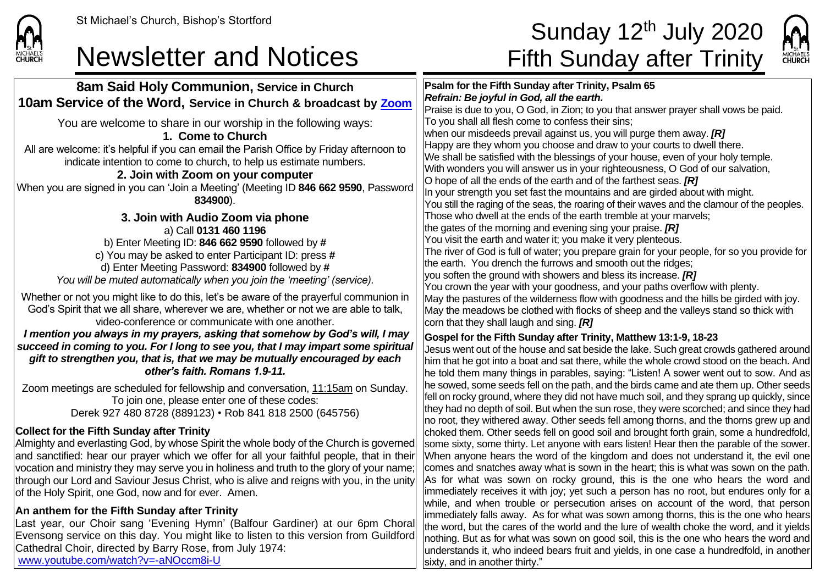

## Newsletter and Notices Fifth Sunday after Trinity

# St Michael's Church, Bishop's Stortford **Sunday 12<sup>th</sup> July 2020**



**8am Said Holy Communion, Service in Church 10am Service of the Word, Service in Church & broadcast by [Zoom](https://zoom.us/)** You are welcome to share in our worship in the following ways: **1. Come to Church** All are welcome: it's helpful if you can email the Parish Office by Friday afternoon to indicate intention to come to church, to help us estimate numbers. **2. Join with Zoom on your computer** When you are signed in you can 'Join a Meeting' (Meeting ID **846 662 9590**, Password **834900**). **3. Join with Audio Zoom via phone** a) Call **0131 460 1196** b) Enter Meeting ID: **846 662 9590** followed by **#** c) You may be asked to enter Participant ID: press **#** d) Enter Meeting Password: **834900** followed by **#** *You will be muted automatically when you join the 'meeting' (service).* Whether or not you might like to do this, let's be aware of the prayerful communion in God's Spirit that we all share, wherever we are, whether or not we are able to talk, video-conference or communicate with one another. *I mention you always in my prayers, asking that somehow by God's will, I may succeed in coming to you. For I long to see you, that I may impart some spiritual gift to strengthen you, that is, that we may be mutually encouraged by each other's faith. Romans 1.9-11.* Zoom meetings are scheduled for fellowship and conversation, 11:15am on Sunday. To join one, please enter one of these codes: Derek 927 480 8728 (889123) • Rob 841 818 2500 (645756) **Collect for the Fifth Sunday after Trinity** Almighty and everlasting God, by whose Spirit the whole body of the Church is governed and sanctified: hear our prayer which we offer for all your faithful people, that in their vocation and ministry they may serve you in holiness and truth to the glory of your name; through our Lord and Saviour Jesus Christ, who is alive and reigns with you, in the unity of the Holy Spirit, one God, now and for ever. Amen. **An anthem for the Fifth Sunday after Trinity** Last year, our Choir sang 'Evening Hymn' (Balfour Gardiner) at our 6pm Choral Evensong service on this day. You might like to listen to this version from Guildford Cathedral Choir, directed by Barry Rose, from July 1974: [www.youtube.com/watch?v=-aNOccm8i-U](http://www.youtube.com/watch?v=-aNOccm8i-U) **Psalm for the Fifth Sunday after Trinity, Psalm 65** *Refrain: Be joyful in God, all the earth.* Praise is due to you, O God, in Zion; to you that answer prayer shall vows be paid. To you shall all flesh come to confess their sins; when our misdeeds prevail against us, you will purge them away. *[R]* Happy are they whom you choose and draw to your courts to dwell there. We shall be satisfied with the blessings of your house, even of your holy temple. With wonders you will answer us in your righteousness, O God of our salvation, O hope of all the ends of the earth and of the farthest seas. *[R]* In your strength you set fast the mountains and are girded about with might. You still the raging of the seas, the roaring of their waves and the clamour of the peoples. Those who dwell at the ends of the earth tremble at your marvels; the gates of the morning and evening sing your praise. *[R]* You visit the earth and water it; you make it very plenteous. The river of God is full of water; you prepare grain for your people, for so you provide for the earth. You drench the furrows and smooth out the ridges; you soften the ground with showers and bless its increase. *[R]* You crown the year with your goodness, and your paths overflow with plenty. May the pastures of the wilderness flow with goodness and the hills be girded with joy. May the meadows be clothed with flocks of sheep and the valleys stand so thick with corn that they shall laugh and sing. *[R]* **Gospel for the Fifth Sunday after Trinity, Matthew 13:1-9, 18-23** Jesus went out of the house and sat beside the lake. Such great crowds gathered around him that he got into a boat and sat there, while the whole crowd stood on the beach. And he told them many things in parables, saying: "Listen! A sower went out to sow. And as he sowed, some seeds fell on the path, and the birds came and ate them up. Other seeds fell on rocky ground, where they did not have much soil, and they sprang up quickly, since they had no depth of soil. But when the sun rose, they were scorched; and since they had no root, they withered away. Other seeds fell among thorns, and the thorns grew up and choked them. Other seeds fell on good soil and brought forth grain, some a hundredfold, some sixty, some thirty. Let anyone with ears listen! Hear then the parable of the sower. When anyone hears the word of the kingdom and does not understand it, the evil one comes and snatches away what is sown in the heart; this is what was sown on the path. As for what was sown on rocky ground, this is the one who hears the word and immediately receives it with joy; yet such a person has no root, but endures only for a while, and when trouble or persecution arises on account of the word, that person immediately falls away. As for what was sown among thorns, this is the one who hears the word, but the cares of the world and the lure of wealth choke the word, and it yields nothing. But as for what was sown on good soil, this is the one who hears the word and understands it, who indeed bears fruit and yields, in one case a hundredfold, in another sixty, and in another thirty."